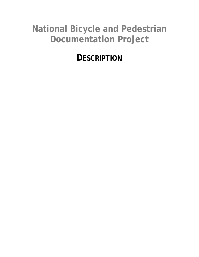# **National Bicycle and Pedestrian Documentation Project**

# **DESCRIPTION**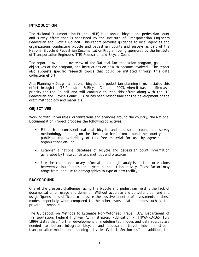#### **INTRODUCTION**

The National Documentation Project (NDP) is an annual bicycle and pedestrian count and survey effort that is sponsored by the Institute of Transportation Engineers Pedestrian and Bicycle Council. This report provides guidance to local agencies and organizations conducting bicycle and pedestrian counts and surveys as part of the National Bicycle & Pedestrian Documentation Program being sponsored by the Institute of Transportation Engineers (ITE) Pedestrian and Bicycle Council.

The report provides an overview of the National Documentation program, goals and objectives of the program, and instructions on how to become involved. The report also suggests specific research topics that could be initiated through this data collection effort.

Alta Planning + Design, a national bicycle and pedestrian planning firm, initiated this effort through the ITE Pedestrian & Bicycle Council in 2003, when it was identified as a priority for the Council and will continue to lead this effort along with the ITE Pedestrian and Bicycle Council. Alta has been responsible for the development of the draft methodology and materials.

#### **OBJECTIVES**

Working with universities, organizations and agencies around the country, the National Documentation Project proposes the following objectives:

- Establish a consistent national bicycle and pedestrian count and survey methodology, building on the 'best practices' from around the country, and publicize the availability of this free material for use by agencies and organizations on-line.
- Establish a national database of bicycle and pedestrian count information generated by these consistent methods and practices.
- Use the count and survey information to begin analysis on the correlations between various factors and bicycle and pedestrian activity. These factors may range from land use to demographics to type of new facility.

#### **BACKGROUND**

One of the greatest challenges facing the bicycle and pedestrian field is the lack of documentation on usage and demand. Without accurate and consistent demand and usage figures, it is difficult to measure the positive benefits of investments in these modes, especially when compared to the other transportation modes such as the private automobile.

The Guidebook on Methods to Estimate Non-Motorized Travel (U.S. Department of Transportation, Federal Highway Administration, Publication N. FHWA-RD-165, July 1999) states that "further development of modeling techniques and data sources are needed to better integrate bicycle and pedestrian travel into mainstream transportation models and planning activities (Vol. 1, Section 4)." In addition, the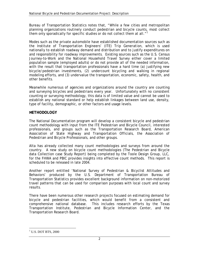Bureau of Transportation Statistics notes that, "While a few cities and metropolitan planning organizations routinely conduct pedestrian and bicycle counts, most collect them only sporadically for specific studies or do not collect them at all. $"$ <sup>1</sup>

Modes such as the private automobile have established documentation sources such as the Institute of Transportation Engineers' (ITE) *Trip Generation*, which is used nationally to establish roadway demand and distribution and to justify expenditures on and responsibility for roadway improvements. Existing sources such as the U.S. Census Journey-to-Work and the National Household Travel Survey either cover a limited population sample (employed adults) or do not provide all of the needed information, with the result that transportation professionals have a hard time (a) justifying new bicycle/pedestrian investments, (2) undercount bicycling and walking in regional modeling efforts, and (3) undervalue the transportation, economic, safety, health, and other benefits.

Meanwhile numerous of agencies and organizations around the country are counting and surveying bicycles and pedestrians every year. Unfortunately with no consistent counting or surveying methodology, this data is of limited value and cannot be used to establish any national standard or help establish linkages between land use, density, type of facility, demographic, or other factors and usage levels.

## **METHODOLOGY**

The National Documentation program will develop a consistent bicycle and pedestrian count methodology with input from the ITE Pedestrian and Bicycle Council, interested professionals, and groups such as the Transportation Research Board, American Association of State Highway and Transportation Officials, the Association of Pedestrian and Bicycle Professionals, and other groups.

Alta has already collected many count methodologies and surveys from around the country. A new study on bicycle count methodologies (The Pedestrian and Bicycle data Collection case Study Report) being completed by the Toole Design Group, LLC, for the FHWA and PBIC provides insights into effective count methods. This report is scheduled to be released in late 2004.

Another report entitled 'National Survey of Pedestrian & Bicyclist Attitudes and Behaviors' produced by the U.S. Department of Transportation Bureau of Transportation Statistics provides excellent background information on non-motorized travel patterns that can be used for comparison purposes with local count and survey results.

There have been numerous other research projects focused on estimating demand for bicycle and pedestrian facilities, which would benefit from a consistent and comprehensive national database. This includes research efforts by the Texas Transportation Institute, Pedestrian and Bicycle Information Center, and the Transportation Research Board.

 $\overline{a}$ 

<sup>&</sup>lt;sup>1</sup> U.S. DOT BTS, 2000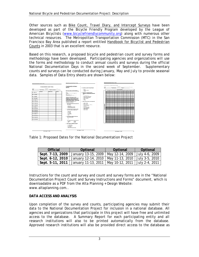Other sources such as Bike Count, Travel Diary, and Intercept Surveys have been developed as part of the Bicycle Friendly Program developed by the League of American Bicyclists (www.bicyclefriendlycommunity.org) along with numerous other technical resources. The Metropolitan Transportation Commission (MTC) in the San Francisco Bay Area published a report entitled Handbook for Bicyclist and Pedestrian Counts in 2003 that is an excellent resource.

Based on this research, a proposed bicycle and pedestrian count and survey forms and methodology have been developed. Participating agencies and organizations will use the forms and methodology to conduct annual counts and surveys during the official National Documentation Days in the second week of September. Supplementary counts and surveys can be conducted during January, May and July to provide seasonal data. Samples of Data Entry sheets are shown below:



Table 1: Proposed Dates for the National Documentation Project

| Official | Optional                                                                  | Optional | Optional |
|----------|---------------------------------------------------------------------------|----------|----------|
|          | Sept. 7-13, 2009   January 13-15, 2009   May 12-14, 2009   July 4-6, 2009 |          |          |
|          | Sept. 6-12, 2010   January 12-14, 2010   May 11-13, 2010   July 3-5, 2010 |          |          |
|          | Sept. 5-11, 2011   January 11-13, 2011   May 10-12, 2011   July 2-4, 2011 |          |          |

Instructions for the count and survey and count and survey forms are in the "National Documentation Project Count and Survey Instructions and Forms" document, which is downloadable as a PDF from the Alta Planning + Design Website: www.altaplanning.com..

# **DATA ACCESS AND ANALYSIS**

Upon completion of the survey and counts, participating agencies may submit their data to the National Documentation Project for inclusion in a national database. All agencies and organizations that participate in this project will have free and unlimited access to the database. A Summary Report for each participating entity and all research institutions will also to be printed automatically from the database. Approved research institutions will also be provided direct access to the database as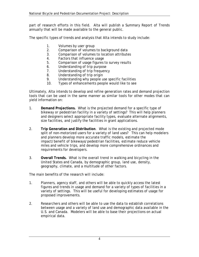part of research efforts in this field. Alta will publish a Summary Report of Trends annually that will be made available to the general public.

The specific types of trends and analysis that Alta intends to study include:

- 1. Volumes by user group
- 2. Comparison of volumes to background data
- 3. Comparison of volumes to location attributes
- 4. Factors that influence usage
- 5. Comparison of usage figures to survey results
- 6. Understanding of trip purpose
- 7. Understanding of trip frequency
- 8. Understanding of trip origin
- 9. Understanding why people use specific facilities
- 10. Types of enhancements people would like to see

Ultimately, Alta intends to develop and refine generation rates and demand projection tools that can be used in the same manner as similar tools for other modes that can yield information on:

- 1. **Demand Projections.** What is the projected demand for a specific type of bikeway or pedestrian facility in a variety of settings? This will help planners and designers select appropriate facility types, evaluate alternate alignments, size facilities, and justify the facilities in grant applications.
- 2. **Trip Generation and Distribution**. What is the existing and projected mode split of non-motorized users for a variety of land uses? This can help modelers and planners develop more accurate traffic models, estimate the impact/benefit of bikeways/pedestrian facilities, estimate reduce vehicle miles and vehicle trips, and develop more comprehensive ordinances and requirements for developers.
- 3. **Overall Trends.** What is the overall trend in walking and bicycling in the United States and Canada, by demographic group, land use, density, geography, climate, and a multitude of other factors.

The main benefits of the research will include:

- 1. Planners, agency staff, and others will be able to quickly access the latest figures and trends in usage and demand for a variety of types of facilities in a variety of settings. This will be useful for developing estimates of usage for proposed improvements.
- 2. Researchers and others will be able to use the data to establish correlations between usage and a variety of land use and demographic data available in the U.S. and Canada. Modelers will be able to base their projections on actual empirical data.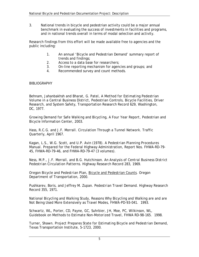3. National trends in bicycle and pedestrian activity could be a major annual benchmark in evaluating the success of investments in facilities and programs, and in national trends overall in terms of modal selection and activity.

Research findings from this effort will be made available free to agencies and the public including:

- 1. An annual 'Bicycle and Pedestrian Demand' summary report of trends and findings;
- 2. Access to a data base for researchers;
- 3. On-line reporting mechanism for agencies and groups; and
- 4. Recommended survey and count methods.

#### **BIBLIOGRAPHY**

Behnam, Jahanbakhsh and Bharat, G. Patel, *A Method for Estimating Pedestrian Volume in a Central Business District*, Pedestrian Controls, Bicycle Facilities, Driver Research, and System Safety, Transportation Research Record 629, Washington, DC, 1977.

*Growing Demand for Safe Walking and Bicycling, A Four Year Report*, Pedestrian and Bicycle Information Center, 2003.

Hass, R.C.G. and J.F. Morrall. *Circulation Through a Tunnel Network*. Traffic Quarterly, April 1967.

Kagan, L.S., W.G. Scott, and U.P. Avin (1978). *A Pedestrian Planning Procedures Manual*. Prepared for the Federal Highway Administration, Report Nos. FHWA-RD-79- 45, FHWA-RD-79-46, and FHWA-RD-79-47 (3 volumes).

Ness, M.P., J.F. Morrall, and B.G. Hutchinson. *An Analysis of Central Business District Pedestrian Circulation Patterns*. Highway Research Record 283, 1969.

*Oregon Bicycle and Pedestrian Plan*, Bicycle and Pedestrian Counts. Oregon Department of Transportation, 2000.

Pushkarev, Boris, and Jeffrey M. Zupan. *Pedestrian Travel Demand*. Highway Research Record 355, 1971.

*National Bicycling and Walking Study*, Reasons Why Bicycling and Walking are and are Not Being Used More Extensively as Travel Modes, FHWA-PD-93-041. 1993.

Schwartz, WL, Porter, CD, Payne, GC, Suhrbier, JH, Moe, PC, Wilkinson, WL, *Guidebook on Methods to Estimate Non-Motorized Travel*, FHWA RD-98-165. 1998.

Turner, Shawn. *Project Prepares State for Estimating Bicycle and Pedestrian Demand*, Texas Transportation Institute, 5-1723, 2000.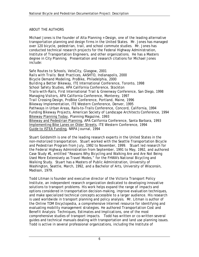## ABOUT THE AUTHORS

Michael Jones is the founder of Alta Planning + Design, one of the leading alternative transportation planning and design firms in the United States. Mr. Jones has managed over 120 bicycle, pedestrian, trail, and school commute studies. Mr. Jones has conducted technical research projects for the Federal Highway Administration, Institute of Transportation Engineers, and other organizations. He has a Masters degree in City Planning. Presentation and research citations for Michael Jones include:

*Safe Routes to Schools*, VeloCity, Glasgow, 2001 *Rails with Trails: Best Practices*, AASHTO, Indianapolis, 2000 *Bicycle Demand Modeling*, ProBike, Philadelphia, 2000 *Building a Better Bikeway*, ITE International Conference, Toronto, 1998 *School Safety Studies*, APA California Conference, Stockton *Trails-with-Rails*, First International Trail & Greenway Conference, San Diego, 1998 *Managing Visitors*, APA California Conference, Monterey, 1997 *Trail Crossing Design*, ProBike Conference, Portland, Maine, 1996 *Bikeway Implementation*, ITE Western Conference, Denver, 1995 *Pathways in Urban Areas*, Rails-to-Trails Conference, Concord, California, 1994 *Funding Bikeway Projects*, American Society of Landscape Architects Conference, 1994 Bikeway Planning Today, Planning Magazine, 1993 Bikeway and Pedestrian Planning, APA California Conference, Santa Barbara, 1993 Implementing Bike Lanes on Older Streets, ITE Western Conference, 1994 Guide to ISTEA Funding, NRPA Journal, 1994

Stuart Goldsmith is one of the leading research experts in the United States in the non-motorized transportation. Stuart worked with the Seattle Transportation Bicycle and Pedestrian Program from July, 1992 to November, 1999. Stuart led research for the Federal Highway Administration from September, 1991 to May, 1992, and authored Case Study #1, entitled "Reasons Why Bicycling and Walking Are and Are Not Being Used More Extensively as Travel Modes," for the FHWA's *National Bicycling and Walking Study*. Stuart has a Masters of Public Administration, University of Washington, Seattle, March, 1992, and a Bachelor of Arts, University of Wisconsin, Madison, 1979.

Todd Litman is founder and executive director of the Victoria Transport Policy Institute, an independent research organization dedicated to developing innovative solutions to transport problems. His work helps expand the range of impacts and options considered in transportation decision-making, improve evaluation techniques, and make specialized technical concepts accessible to a larger audience. His research is used worldwide in transport planning and policy analysis. Mr. Litman is author of the *Online TDM Encyclopedia*, a comprehensive Internet resource for identifying and evaluating mobility management strategies. He authored *Transportation Cost and Benefit Analysis: Techniques, Estimates and Implications*, one of the most comprehensive studies of transport impacts. Todd has written or co-written several guides and technical manuals dealing with transportation and land use planning issues. Todd is active in several professional organizations, including the Institute of